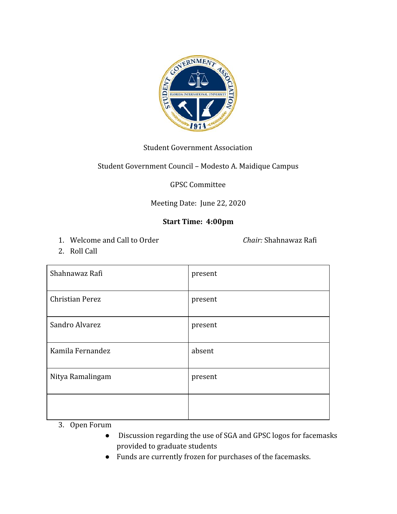

## Student Government Association

# Student Government Council – Modesto A. Maidique Campus

## GPSC Committee

## Meeting Date: June 22, 2020

# **Start Time: 4:00pm**

1. Welcome and Call to Order *Chair:* Shahnawaz Rafi

2. Roll Call

| Shahnawaz Rafi         | present |
|------------------------|---------|
| <b>Christian Perez</b> | present |
| Sandro Alvarez         | present |
| Kamila Fernandez       | absent  |
| Nitya Ramalingam       | present |
|                        |         |

- 3. Open Forum
	- Discussion regarding the use of SGA and GPSC logos for facemasks provided to graduate students
	- Funds are currently frozen for purchases of the facemasks.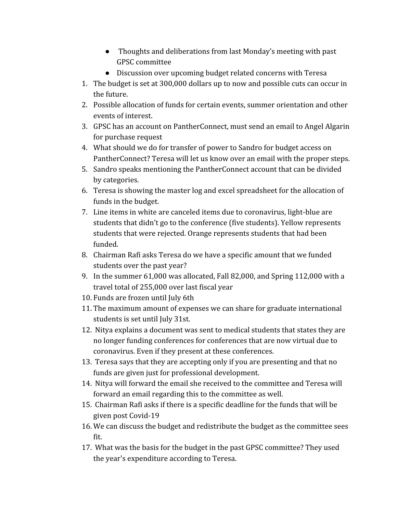- Thoughts and deliberations from last Monday's meeting with past GPSC committee
- Discussion over upcoming budget related concerns with Teresa
- 1. The budget is set at 300,000 dollars up to now and possible cuts can occur in the future.
- 2. Possible allocation of funds for certain events, summer orientation and other events of interest.
- 3. GPSC has an account on PantherConnect, must send an email to Angel Algarin for purchase request
- 4. What should we do for transfer of power to Sandro for budget access on PantherConnect? Teresa will let us know over an email with the proper steps.
- 5. Sandro speaks mentioning the PantherConnect account that can be divided by categories.
- 6. Teresa is showing the master log and excel spreadsheet for the allocation of funds in the budget.
- 7. Line items in white are canceled items due to coronavirus, light-blue are students that didn't go to the conference (five students). Yellow represents students that were rejected. Orange represents students that had been funded.
- 8. Chairman Rafi asks Teresa do we have a specific amount that we funded students over the past year?
- 9. In the summer 61,000 was allocated, Fall 82,000, and Spring 112,000 with a travel total of 255,000 over last fiscal year
- 10. Funds are frozen until July 6th
- 11. The maximum amount of expenses we can share for graduate international students is set until July 31st.
- 12. Nitya explains a document was sent to medical students that states they are no longer funding conferences for conferences that are now virtual due to coronavirus. Even if they present at these conferences.
- 13. Teresa says that they are accepting only if you are presenting and that no funds are given just for professional development.
- 14. Nitya will forward the email she received to the committee and Teresa will forward an email regarding this to the committee as well.
- 15. Chairman Rafi asks if there is a specific deadline for the funds that will be given post Covid-19
- 16. We can discuss the budget and redistribute the budget as the committee sees fit.
- 17. What was the basis for the budget in the past GPSC committee? They used the year's expenditure according to Teresa.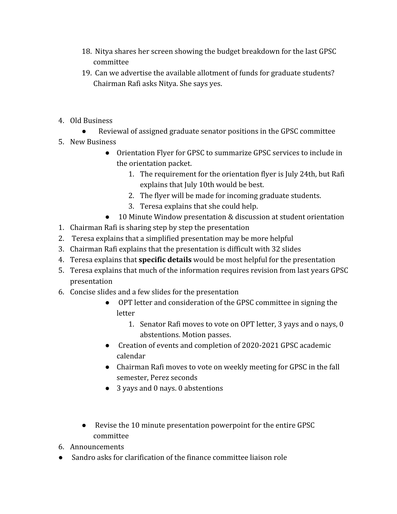- 18. Nitya shares her screen showing the budget breakdown for the last GPSC committee
- 19. Can we advertise the available allotment of funds for graduate students? Chairman Rafi asks Nitya. She says yes.
- 4. Old Business
	- Reviewal of assigned graduate senator positions in the GPSC committee
- 5. New Business
	- Orientation Flyer for GPSC to summarize GPSC services to include in the orientation packet.
		- 1. The requirement for the orientation flyer is July 24th, but Rafi explains that July 10th would be best.
		- 2. The flyer will be made for incoming graduate students.
		- 3. Teresa explains that she could help.
	- 10 Minute Window presentation & discussion at student orientation
- 1. Chairman Rafi is sharing step by step the presentation
- 2. Teresa explains that a simplified presentation may be more helpful
- 3. Chairman Rafi explains that the presentation is difficult with 32 slides
- 4. Teresa explains that **specific details** would be most helpful for the presentation
- 5. Teresa explains that much of the information requires revision from last years GPSC presentation
- 6. Concise slides and a few slides for the presentation
	- OPT letter and consideration of the GPSC committee in signing the letter
		- 1. Senator Rafi moves to vote on OPT letter, 3 yays and o nays, 0 abstentions. Motion passes.
	- Creation of events and completion of 2020-2021 GPSC academic calendar
	- Chairman Rafi moves to vote on weekly meeting for GPSC in the fall semester, Perez seconds
	- 3 yays and 0 nays. 0 abstentions
	- Revise the 10 minute presentation powerpoint for the entire GPSC committee
- 6. Announcements
- Sandro asks for clarification of the finance committee liaison role